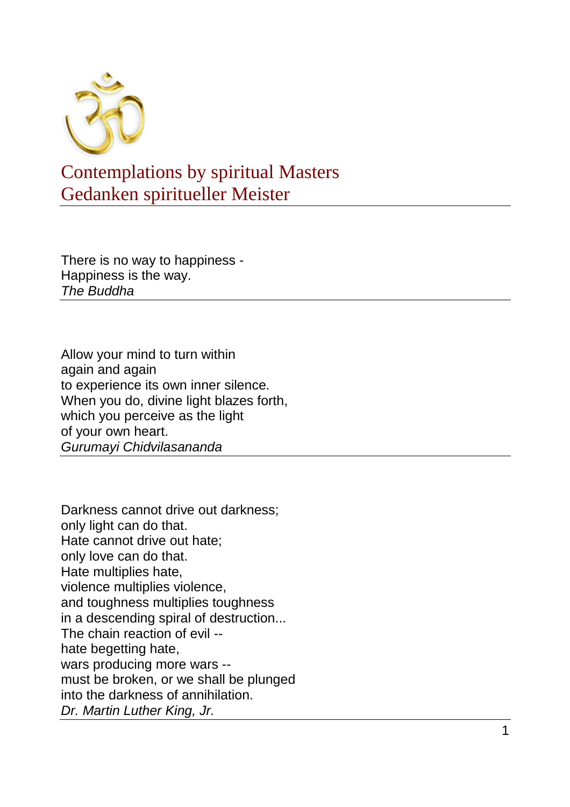

## Contemplations by spiritual Masters Gedanken spiritueller Meister

There is no way to happiness - Happiness is the way. *The Buddha*

Allow your mind to turn within again and again to experience its own inner silence. When you do, divine light blazes forth, which you perceive as the light of your own heart. *Gurumayi Chidvilasananda*

Darkness cannot drive out darkness; only light can do that. Hate cannot drive out hate; only love can do that. Hate multiplies hate, violence multiplies violence, and toughness multiplies toughness in a descending spiral of destruction... The chain reaction of evil - hate begetting hate, wars producing more wars - must be broken, or we shall be plunged into the darkness of annihilation. *Dr. Martin Luther King, Jr.*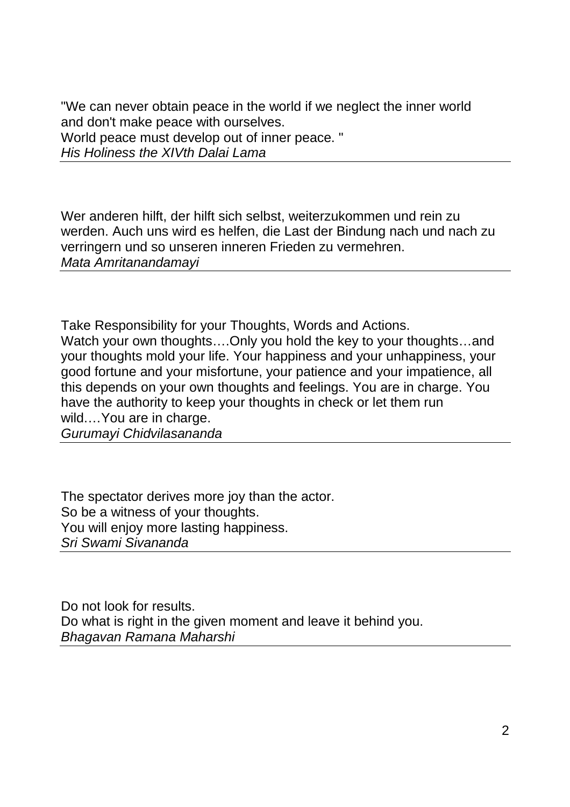"We can never obtain peace in the world if we neglect the inner world and don't make peace with ourselves. World peace must develop out of inner peace. " *His Holiness the XIVth Dalai Lama*

Wer anderen hilft, der hilft sich selbst, weiterzukommen und rein zu werden. Auch uns wird es helfen, die Last der Bindung nach und nach zu verringern und so unseren inneren Frieden zu vermehren. *Mata Amritanandamayi*

Take Responsibility for your Thoughts, Words and Actions. Watch your own thoughts….Only you hold the key to your thoughts…and your thoughts mold your life. Your happiness and your unhappiness, your good fortune and your misfortune, your patience and your impatience, all this depends on your own thoughts and feelings. You are in charge. You have the authority to keep your thoughts in check or let them run wild.…You are in charge.

*Gurumayi Chidvilasananda*

The spectator derives more joy than the actor. So be a witness of your thoughts. You will enjoy more lasting happiness. *Sri Swami Sivananda*

Do not look for results. Do what is right in the given moment and leave it behind you. *Bhagavan Ramana Maharshi*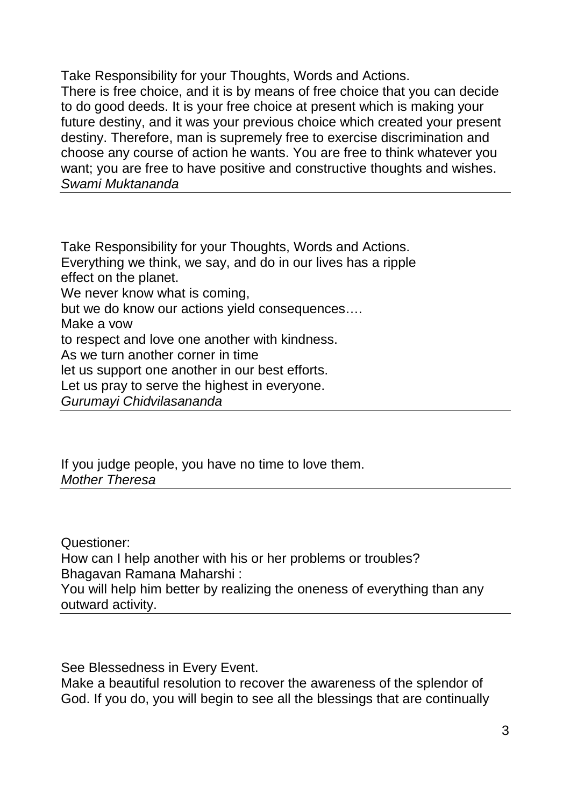Take Responsibility for your Thoughts, Words and Actions. There is free choice, and it is by means of free choice that you can decide to do good deeds. It is your free choice at present which is making your future destiny, and it was your previous choice which created your present destiny. Therefore, man is supremely free to exercise discrimination and choose any course of action he wants. You are free to think whatever you want; you are free to have positive and constructive thoughts and wishes. *Swami Muktananda*

Take Responsibility for your Thoughts, Words and Actions. Everything we think, we say, and do in our lives has a ripple effect on the planet. We never know what is coming, but we do know our actions yield consequences…. Make a vow to respect and love one another with kindness. As we turn another corner in time let us support one another in our best efforts. Let us pray to serve the highest in everyone.

*Gurumayi Chidvilasananda*

If you judge people, you have no time to love them. *Mother Theresa*

Questioner:

How can I help another with his or her problems or troubles? Bhagavan Ramana Maharshi :

You will help him better by realizing the oneness of everything than any outward activity.

See Blessedness in Every Event.

Make a beautiful resolution to recover the awareness of the splendor of God. If you do, you will begin to see all the blessings that are continually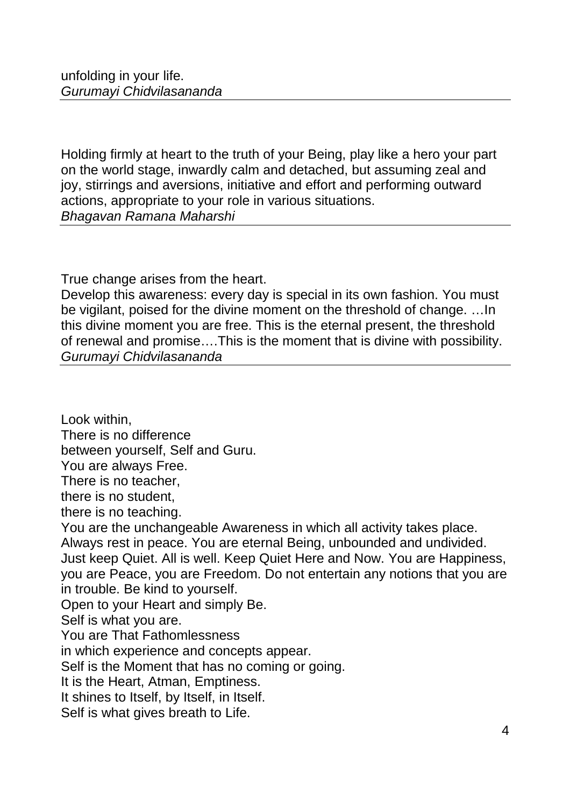Holding firmly at heart to the truth of your Being, play like a hero your part on the world stage, inwardly calm and detached, but assuming zeal and joy, stirrings and aversions, initiative and effort and performing outward actions, appropriate to your role in various situations. *Bhagavan Ramana Maharshi*

True change arises from the heart.

Develop this awareness: every day is special in its own fashion. You must be vigilant, poised for the divine moment on the threshold of change. …In this divine moment you are free. This is the eternal present, the threshold of renewal and promise….This is the moment that is divine with possibility. *Gurumayi Chidvilasananda*

Look within, There is no difference between yourself, Self and Guru. You are always Free. There is no teacher, there is no student, there is no teaching. You are the unchangeable Awareness in which all activity takes place. Always rest in peace. You are eternal Being, unbounded and undivided. Just keep Quiet. All is well. Keep Quiet Here and Now. You are Happiness, you are Peace, you are Freedom. Do not entertain any notions that you are in trouble. Be kind to yourself. Open to your Heart and simply Be. Self is what you are. You are That Fathomlessness in which experience and concepts appear. Self is the Moment that has no coming or going. It is the Heart, Atman, Emptiness. It shines to Itself, by Itself, in Itself. Self is what gives breath to Life.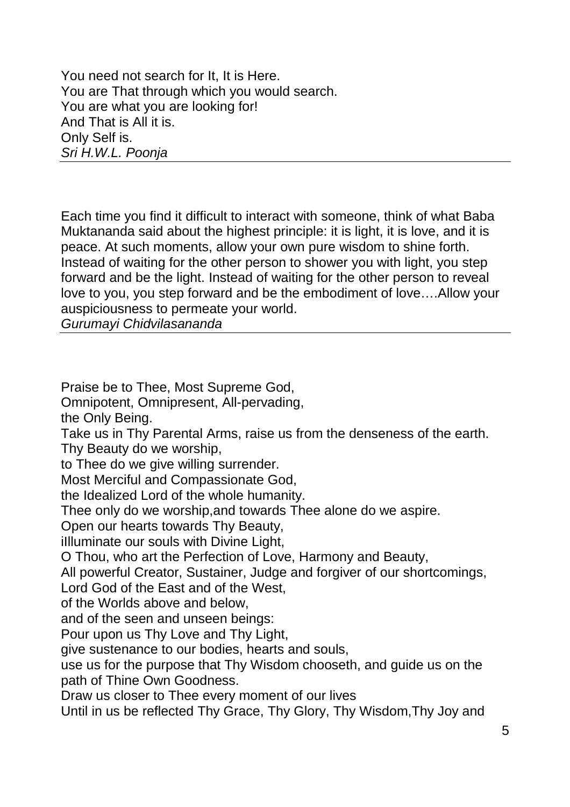You need not search for It, It is Here. You are That through which you would search. You are what you are looking for! And That is All it is. Only Self is. *Sri H.W.L. Poonja*

Each time you find it difficult to interact with someone, think of what Baba Muktananda said about the highest principle: it is light, it is love, and it is peace. At such moments, allow your own pure wisdom to shine forth. Instead of waiting for the other person to shower you with light, you step forward and be the light. Instead of waiting for the other person to reveal love to you, you step forward and be the embodiment of love….Allow your auspiciousness to permeate your world.

*Gurumayi Chidvilasananda*

Praise be to Thee, Most Supreme God, Omnipotent, Omnipresent, All-pervading, the Only Being. Take us in Thy Parental Arms, raise us from the denseness of the earth. Thy Beauty do we worship, to Thee do we give willing surrender. Most Merciful and Compassionate God, the Idealized Lord of the whole humanity. Thee only do we worship,and towards Thee alone do we aspire. Open our hearts towards Thy Beauty, iIlluminate our souls with Divine Light, O Thou, who art the Perfection of Love, Harmony and Beauty, All powerful Creator, Sustainer, Judge and forgiver of our shortcomings, Lord God of the East and of the West, of the Worlds above and below, and of the seen and unseen beings: Pour upon us Thy Love and Thy Light, give sustenance to our bodies, hearts and souls, use us for the purpose that Thy Wisdom chooseth, and guide us on the path of Thine Own Goodness. Draw us closer to Thee every moment of our lives Until in us be reflected Thy Grace, Thy Glory, Thy Wisdom,Thy Joy and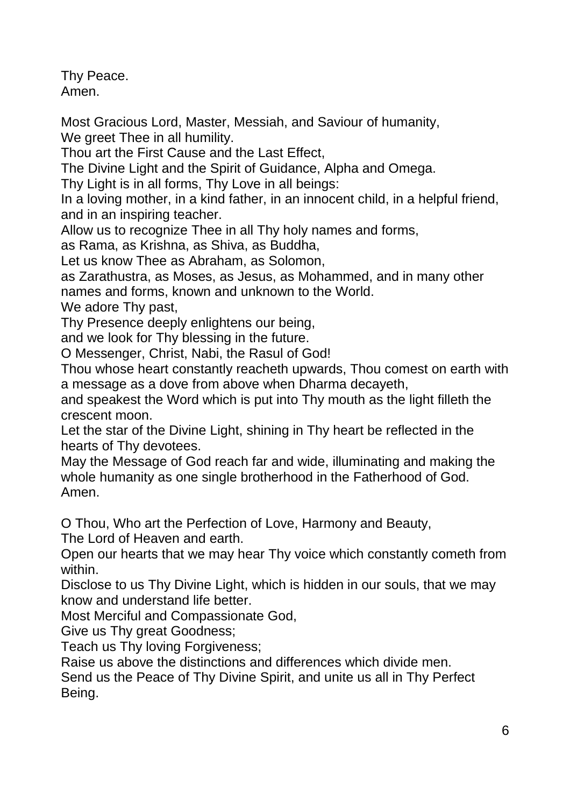Thy Peace. Amen.

Most Gracious Lord, Master, Messiah, and Saviour of humanity, We greet Thee in all humility.

Thou art the First Cause and the Last Effect,

The Divine Light and the Spirit of Guidance, Alpha and Omega.

Thy Light is in all forms, Thy Love in all beings:

In a loving mother, in a kind father, in an innocent child, in a helpful friend, and in an inspiring teacher.

Allow us to recognize Thee in all Thy holy names and forms,

as Rama, as Krishna, as Shiva, as Buddha,

Let us know Thee as Abraham, as Solomon,

as Zarathustra, as Moses, as Jesus, as Mohammed, and in many other names and forms, known and unknown to the World.

We adore Thy past,

Thy Presence deeply enlightens our being,

and we look for Thy blessing in the future.

O Messenger, Christ, Nabi, the Rasul of God!

Thou whose heart constantly reacheth upwards, Thou comest on earth with a message as a dove from above when Dharma decayeth,

and speakest the Word which is put into Thy mouth as the light filleth the crescent moon.

Let the star of the Divine Light, shining in Thy heart be reflected in the hearts of Thy devotees.

May the Message of God reach far and wide, illuminating and making the whole humanity as one single brotherhood in the Fatherhood of God. Amen.

O Thou, Who art the Perfection of Love, Harmony and Beauty,

The Lord of Heaven and earth.

Open our hearts that we may hear Thy voice which constantly cometh from within.

Disclose to us Thy Divine Light, which is hidden in our souls, that we may know and understand life better.

Most Merciful and Compassionate God,

Give us Thy great Goodness;

Teach us Thy loving Forgiveness;

Raise us above the distinctions and differences which divide men.

Send us the Peace of Thy Divine Spirit, and unite us all in Thy Perfect Being.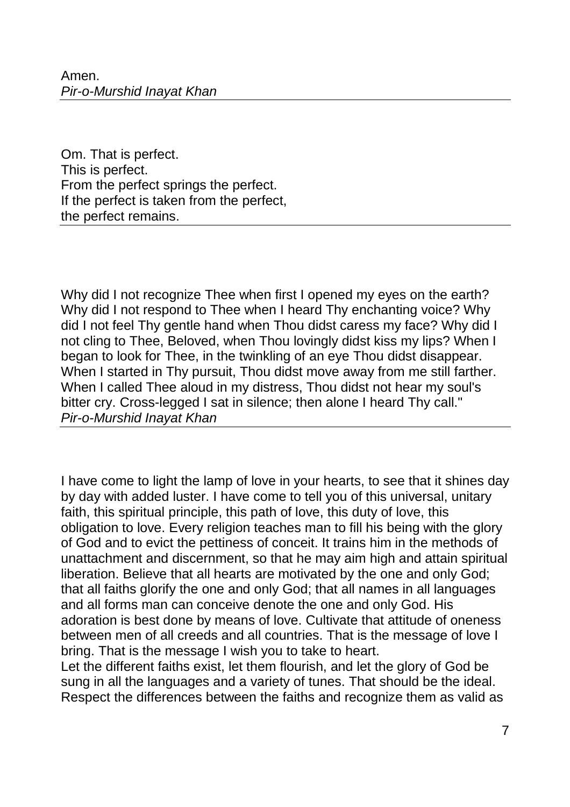Om. That is perfect. This is perfect. From the perfect springs the perfect. If the perfect is taken from the perfect, the perfect remains.

Why did I not recognize Thee when first I opened my eyes on the earth? Why did I not respond to Thee when I heard Thy enchanting voice? Why did I not feel Thy gentle hand when Thou didst caress my face? Why did I not cling to Thee, Beloved, when Thou lovingly didst kiss my lips? When I began to look for Thee, in the twinkling of an eye Thou didst disappear. When I started in Thy pursuit, Thou didst move away from me still farther. When I called Thee aloud in my distress, Thou didst not hear my soul's bitter cry. Cross-legged I sat in silence; then alone I heard Thy call." *Pir-o-Murshid Inayat Khan*

I have come to light the lamp of love in your hearts, to see that it shines day by day with added luster. I have come to tell you of this universal, unitary faith, this spiritual principle, this path of love, this duty of love, this obligation to love. Every religion teaches man to fill his being with the glory of God and to evict the pettiness of conceit. It trains him in the methods of unattachment and discernment, so that he may aim high and attain spiritual liberation. Believe that all hearts are motivated by the one and only God; that all faiths glorify the one and only God; that all names in all languages and all forms man can conceive denote the one and only God. His adoration is best done by means of love. Cultivate that attitude of oneness between men of all creeds and all countries. That is the message of love I bring. That is the message I wish you to take to heart.

Let the different faiths exist, let them flourish, and let the glory of God be sung in all the languages and a variety of tunes. That should be the ideal. Respect the differences between the faiths and recognize them as valid as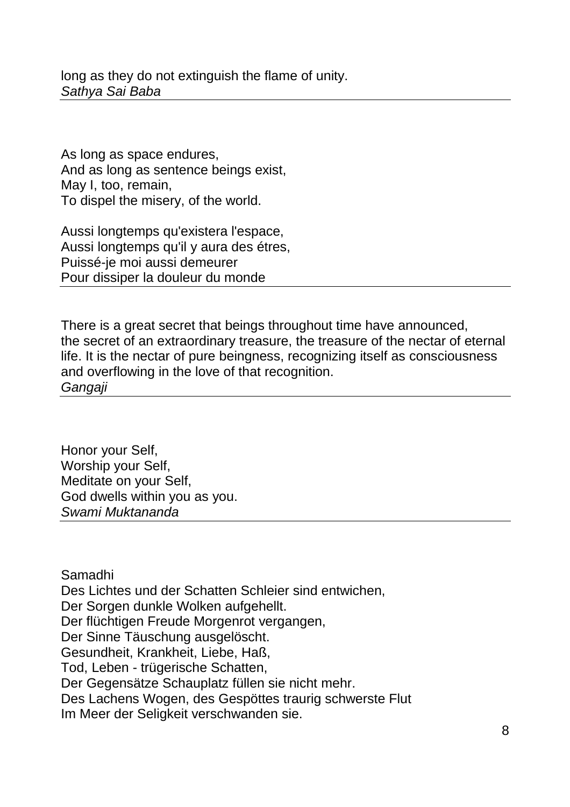As long as space endures, And as long as sentence beings exist, May I, too, remain, To dispel the misery, of the world.

Aussi longtemps qu'existera l'espace, Aussi longtemps qu'il y aura des étres, Puissé-je moi aussi demeurer Pour dissiper la douleur du monde

There is a great secret that beings throughout time have announced, the secret of an extraordinary treasure, the treasure of the nectar of eternal life. It is the nectar of pure beingness, recognizing itself as consciousness and overflowing in the love of that recognition. *Gangaji*

Honor your Self, Worship your Self, Meditate on your Self, God dwells within you as you. *Swami Muktananda*

Samadhi Des Lichtes und der Schatten Schleier sind entwichen, Der Sorgen dunkle Wolken aufgehellt. Der flüchtigen Freude Morgenrot vergangen, Der Sinne Täuschung ausgelöscht. Gesundheit, Krankheit, Liebe, Haß, Tod, Leben - trügerische Schatten, Der Gegensätze Schauplatz füllen sie nicht mehr. Des Lachens Wogen, des Gespöttes traurig schwerste Flut Im Meer der Seligkeit verschwanden sie.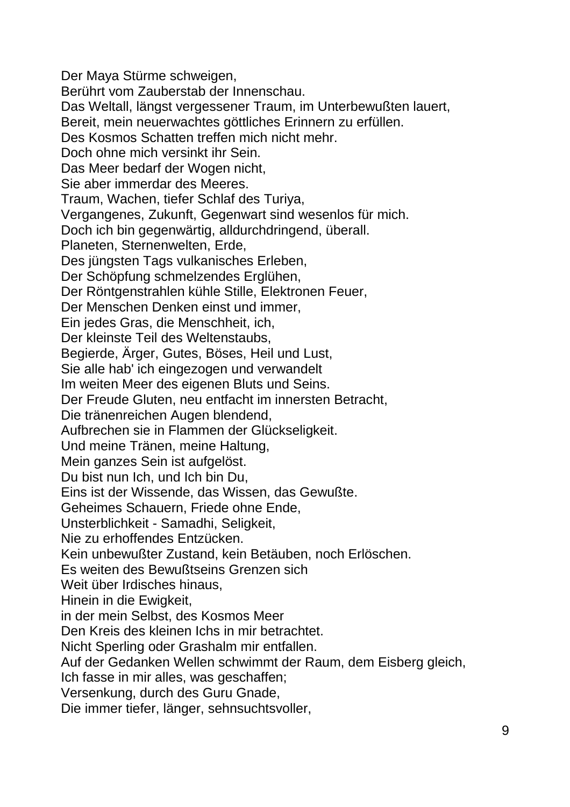Der Maya Stürme schweigen, Berührt vom Zauberstab der Innenschau. Das Weltall, längst vergessener Traum, im Unterbewußten lauert, Bereit, mein neuerwachtes göttliches Erinnern zu erfüllen. Des Kosmos Schatten treffen mich nicht mehr. Doch ohne mich versinkt ihr Sein. Das Meer bedarf der Wogen nicht, Sie aber immerdar des Meeres. Traum, Wachen, tiefer Schlaf des Turiya, Vergangenes, Zukunft, Gegenwart sind wesenlos für mich. Doch ich bin gegenwärtig, alldurchdringend, überall. Planeten, Sternenwelten, Erde, Des jüngsten Tags vulkanisches Erleben, Der Schöpfung schmelzendes Erglühen, Der Röntgenstrahlen kühle Stille, Elektronen Feuer, Der Menschen Denken einst und immer, Ein jedes Gras, die Menschheit, ich, Der kleinste Teil des Weltenstaubs, Begierde, Ärger, Gutes, Böses, Heil und Lust, Sie alle hab' ich eingezogen und verwandelt Im weiten Meer des eigenen Bluts und Seins. Der Freude Gluten, neu entfacht im innersten Betracht, Die tränenreichen Augen blendend, Aufbrechen sie in Flammen der Glückseligkeit. Und meine Tränen, meine Haltung, Mein ganzes Sein ist aufgelöst. Du bist nun Ich, und Ich bin Du, Eins ist der Wissende, das Wissen, das Gewußte. Geheimes Schauern, Friede ohne Ende, Unsterblichkeit - Samadhi, Seligkeit, Nie zu erhoffendes Entzücken. Kein unbewußter Zustand, kein Betäuben, noch Erlöschen. Es weiten des Bewußtseins Grenzen sich Weit über Irdisches hinaus, Hinein in die Ewigkeit, in der mein Selbst, des Kosmos Meer Den Kreis des kleinen Ichs in mir betrachtet. Nicht Sperling oder Grashalm mir entfallen. Auf der Gedanken Wellen schwimmt der Raum, dem Eisberg gleich, Ich fasse in mir alles, was geschaffen; Versenkung, durch des Guru Gnade,

Die immer tiefer, länger, sehnsuchtsvoller,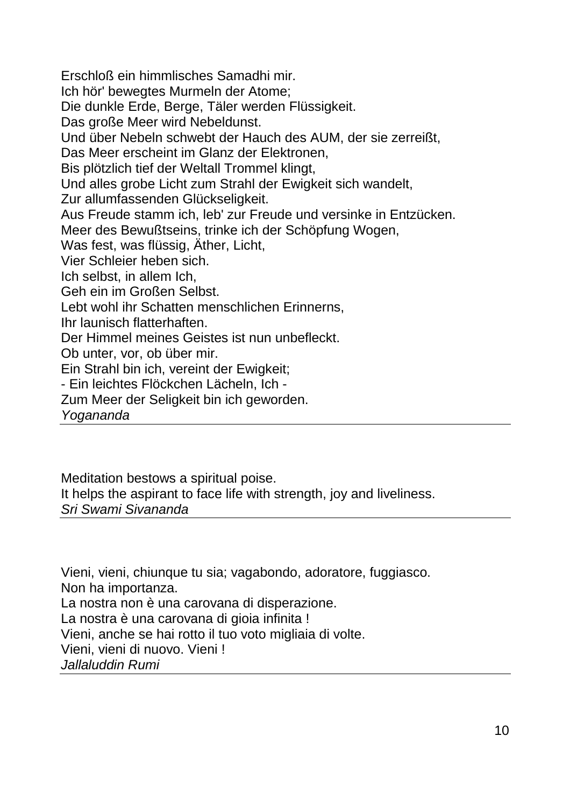Erschloß ein himmlisches Samadhi mir. Ich hör' bewegtes Murmeln der Atome; Die dunkle Erde, Berge, Täler werden Flüssigkeit. Das große Meer wird Nebeldunst. Und über Nebeln schwebt der Hauch des AUM, der sie zerreißt, Das Meer erscheint im Glanz der Elektronen, Bis plötzlich tief der Weltall Trommel klingt, Und alles grobe Licht zum Strahl der Ewigkeit sich wandelt, Zur allumfassenden Glückseligkeit. Aus Freude stamm ich, leb' zur Freude und versinke in Entzücken. Meer des Bewußtseins, trinke ich der Schöpfung Wogen, Was fest, was flüssig, Äther, Licht, Vier Schleier heben sich. Ich selbst, in allem Ich, Geh ein im Großen Selbst. Lebt wohl ihr Schatten menschlichen Erinnerns, Ihr launisch flatterhaften. Der Himmel meines Geistes ist nun unbefleckt. Ob unter, vor, ob über mir. Ein Strahl bin ich, vereint der Ewigkeit; - Ein leichtes Flöckchen Lächeln, Ich - Zum Meer der Seligkeit bin ich geworden.

*Yogananda*

Meditation bestows a spiritual poise. It helps the aspirant to face life with strength, joy and liveliness. *Sri Swami Sivananda*

Vieni, vieni, chiunque tu sia; vagabondo, adoratore, fuggiasco. Non ha importanza.

La nostra non è una carovana di disperazione. La nostra è una carovana di gioia infinita ! Vieni, anche se hai rotto il tuo voto migliaia di volte. Vieni, vieni di nuovo. Vieni ! *Jallaluddin Rumi*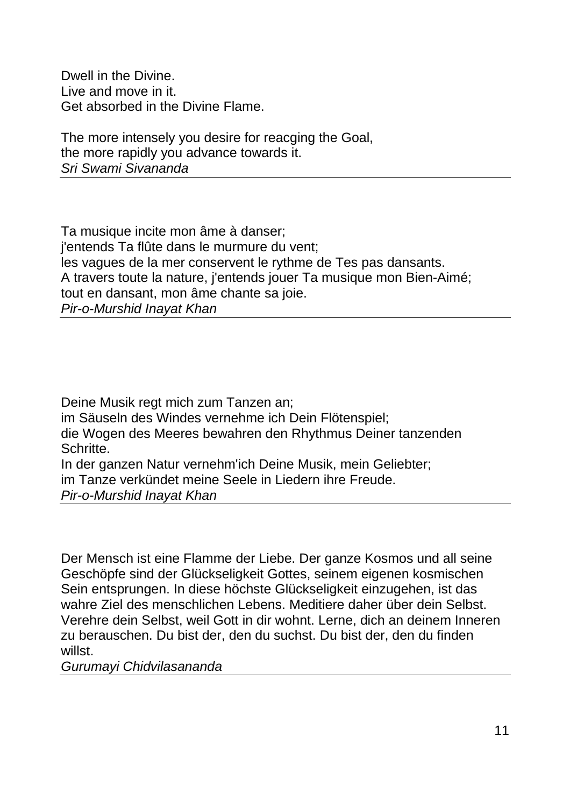Dwell in the Divine. Live and move in it. Get absorbed in the Divine Flame.

The more intensely you desire for reacging the Goal, the more rapidly you advance towards it. *Sri Swami Sivananda*

Ta musique incite mon âme à danser; j'entends Ta flûte dans le murmure du vent; les vagues de la mer conservent le rythme de Tes pas dansants. A travers toute la nature, j'entends jouer Ta musique mon Bien-Aimé; tout en dansant, mon âme chante sa joie. *Pir-o-Murshid Inayat Khan*

Deine Musik regt mich zum Tanzen an; im Säuseln des Windes vernehme ich Dein Flötenspiel; die Wogen des Meeres bewahren den Rhythmus Deiner tanzenden Schritte. In der ganzen Natur vernehm'ich Deine Musik, mein Geliebter; im Tanze verkündet meine Seele in Liedern ihre Freude.

*Pir-o-Murshid Inayat Khan*

Der Mensch ist eine Flamme der Liebe. Der ganze Kosmos und all seine Geschöpfe sind der Glückseligkeit Gottes, seinem eigenen kosmischen Sein entsprungen. In diese höchste Glückseligkeit einzugehen, ist das wahre Ziel des menschlichen Lebens. Meditiere daher über dein Selbst. Verehre dein Selbst, weil Gott in dir wohnt. Lerne, dich an deinem Inneren zu berauschen. Du bist der, den du suchst. Du bist der, den du finden willst.

*Gurumayi Chidvilasananda*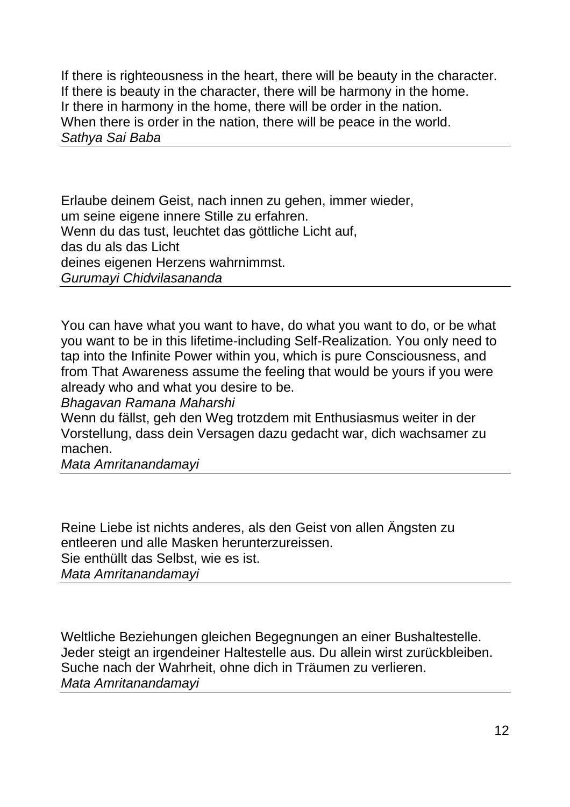If there is righteousness in the heart, there will be beauty in the character. If there is beauty in the character, there will be harmony in the home. Ir there in harmony in the home, there will be order in the nation. When there is order in the nation, there will be peace in the world. *Sathya Sai Baba*

Erlaube deinem Geist, nach innen zu gehen, immer wieder, um seine eigene innere Stille zu erfahren. Wenn du das tust, leuchtet das göttliche Licht auf, das du als das Licht deines eigenen Herzens wahrnimmst. *Gurumayi Chidvilasananda*

You can have what you want to have, do what you want to do, or be what you want to be in this lifetime-including Self-Realization. You only need to tap into the Infinite Power within you, which is pure Consciousness, and from That Awareness assume the feeling that would be yours if you were already who and what you desire to be.

*Bhagavan Ramana Maharshi*

Wenn du fällst, geh den Weg trotzdem mit Enthusiasmus weiter in der Vorstellung, dass dein Versagen dazu gedacht war, dich wachsamer zu machen.

*Mata Amritanandamayi*

Reine Liebe ist nichts anderes, als den Geist von allen Ängsten zu entleeren und alle Masken herunterzureissen.

Sie enthüllt das Selbst, wie es ist.

*Mata Amritanandamayi*

Weltliche Beziehungen gleichen Begegnungen an einer Bushaltestelle. Jeder steigt an irgendeiner Haltestelle aus. Du allein wirst zurückbleiben. Suche nach der Wahrheit, ohne dich in Träumen zu verlieren. *Mata Amritanandamayi*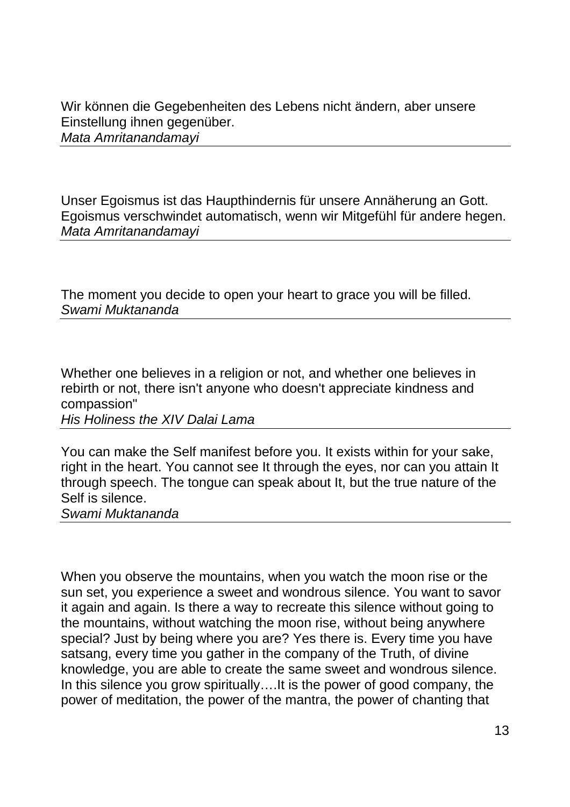Wir können die Gegebenheiten des Lebens nicht ändern, aber unsere Einstellung ihnen gegenüber. *Mata Amritanandamayi*

Unser Egoismus ist das Haupthindernis für unsere Annäherung an Gott. Egoismus verschwindet automatisch, wenn wir Mitgefühl für andere hegen. *Mata Amritanandamayi*

The moment you decide to open your heart to grace you will be filled. *Swami Muktananda*

Whether one believes in a religion or not, and whether one believes in rebirth or not, there isn't anyone who doesn't appreciate kindness and compassion" *His Holiness the XIV Dalai Lama*

You can make the Self manifest before you. It exists within for your sake, right in the heart. You cannot see It through the eyes, nor can you attain It through speech. The tongue can speak about It, but the true nature of the Self is silence. *Swami Muktananda*

When you observe the mountains, when you watch the moon rise or the sun set, you experience a sweet and wondrous silence. You want to savor it again and again. Is there a way to recreate this silence without going to the mountains, without watching the moon rise, without being anywhere special? Just by being where you are? Yes there is. Every time you have satsang, every time you gather in the company of the Truth, of divine knowledge, you are able to create the same sweet and wondrous silence. In this silence you grow spiritually....It is the power of good company, the power of meditation, the power of the mantra, the power of chanting that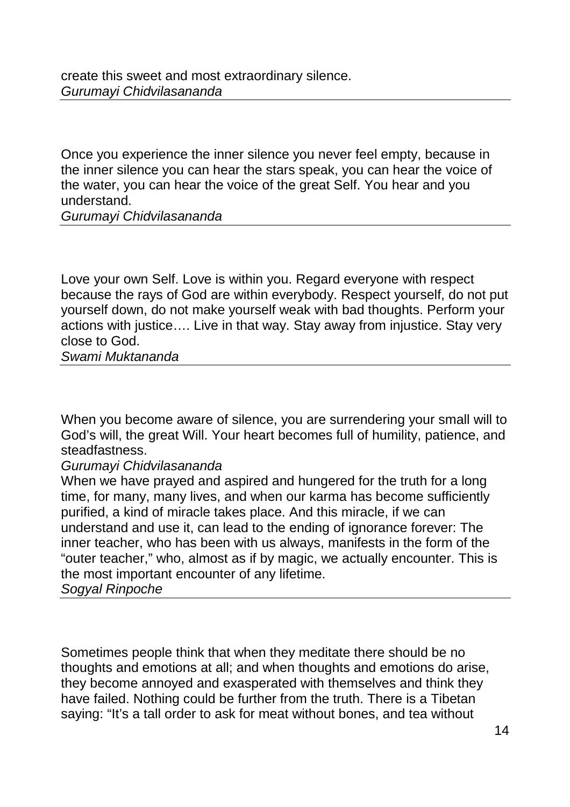Once you experience the inner silence you never feel empty, because in the inner silence you can hear the stars speak, you can hear the voice of the water, you can hear the voice of the great Self. You hear and you understand.

*Gurumayi Chidvilasananda*

Love your own Self. Love is within you. Regard everyone with respect because the rays of God are within everybody. Respect yourself, do not put yourself down, do not make yourself weak with bad thoughts. Perform your actions with justice…. Live in that way. Stay away from injustice. Stay very close to God.

*Swami Muktananda*

When you become aware of silence, you are surrendering your small will to God's will, the great Will. Your heart becomes full of humility, patience, and steadfastness.

## *Gurumayi Chidvilasananda*

When we have prayed and aspired and hungered for the truth for a long time, for many, many lives, and when our karma has become sufficiently purified, a kind of miracle takes place. And this miracle, if we can understand and use it, can lead to the ending of ignorance forever: The inner teacher, who has been with us always, manifests in the form of the "outer teacher," who, almost as if by magic, we actually encounter. This is the most important encounter of any lifetime. *Sogyal Rinpoche*

Sometimes people think that when they meditate there should be no thoughts and emotions at all; and when thoughts and emotions do arise, they become annoyed and exasperated with themselves and think they have failed. Nothing could be further from the truth. There is a Tibetan saying: "It's a tall order to ask for meat without bones, and tea without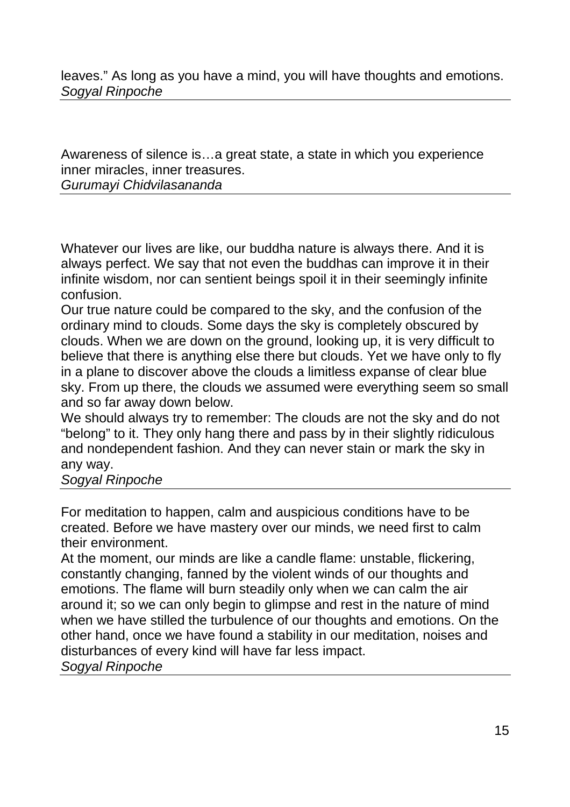leaves." As long as you have a mind, you will have thoughts and emotions. *Sogyal Rinpoche*

Awareness of silence is…a great state, a state in which you experience inner miracles, inner treasures. *Gurumayi Chidvilasananda*

Whatever our lives are like, our buddha nature is always there. And it is always perfect. We say that not even the buddhas can improve it in their infinite wisdom, nor can sentient beings spoil it in their seemingly infinite confusion.

Our true nature could be compared to the sky, and the confusion of the ordinary mind to clouds. Some days the sky is completely obscured by clouds. When we are down on the ground, looking up, it is very difficult to believe that there is anything else there but clouds. Yet we have only to fly in a plane to discover above the clouds a limitless expanse of clear blue sky. From up there, the clouds we assumed were everything seem so small and so far away down below.

We should always try to remember: The clouds are not the sky and do not "belong" to it. They only hang there and pass by in their slightly ridiculous and nondependent fashion. And they can never stain or mark the sky in any way.

*Sogyal Rinpoche*

For meditation to happen, calm and auspicious conditions have to be created. Before we have mastery over our minds, we need first to calm their environment.

At the moment, our minds are like a candle flame: unstable, flickering, constantly changing, fanned by the violent winds of our thoughts and emotions. The flame will burn steadily only when we can calm the air around it; so we can only begin to glimpse and rest in the nature of mind when we have stilled the turbulence of our thoughts and emotions. On the other hand, once we have found a stability in our meditation, noises and disturbances of every kind will have far less impact.

*Sogyal Rinpoche*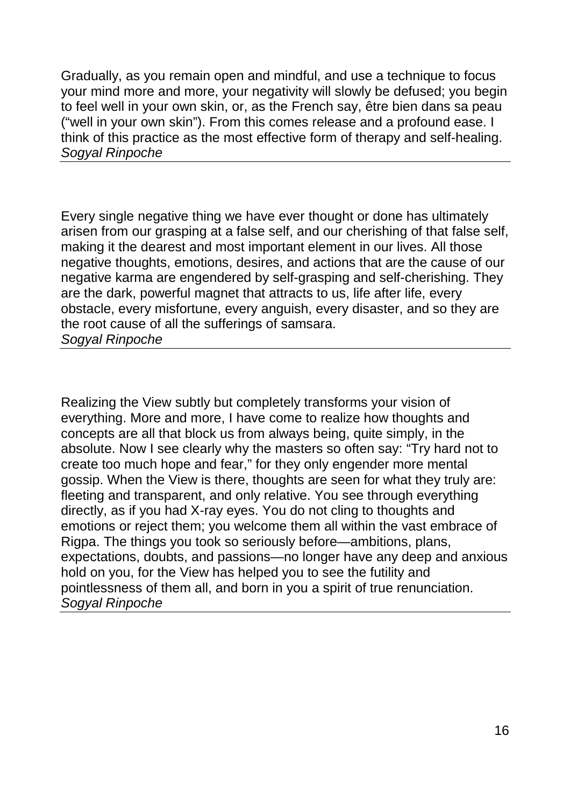Gradually, as you remain open and mindful, and use a technique to focus your mind more and more, your negativity will slowly be defused; you begin to feel well in your own skin, or, as the French say, être bien dans sa peau ("well in your own skin"). From this comes release and a profound ease. I think of this practice as the most effective form of therapy and self-healing. *Sogyal Rinpoche*

Every single negative thing we have ever thought or done has ultimately arisen from our grasping at a false self, and our cherishing of that false self, making it the dearest and most important element in our lives. All those negative thoughts, emotions, desires, and actions that are the cause of our negative karma are engendered by self-grasping and self-cherishing. They are the dark, powerful magnet that attracts to us, life after life, every obstacle, every misfortune, every anguish, every disaster, and so they are the root cause of all the sufferings of samsara. *Sogyal Rinpoche*

Realizing the View subtly but completely transforms your vision of everything. More and more, I have come to realize how thoughts and concepts are all that block us from always being, quite simply, in the absolute. Now I see clearly why the masters so often say: "Try hard not to create too much hope and fear," for they only engender more mental gossip. When the View is there, thoughts are seen for what they truly are: fleeting and transparent, and only relative. You see through everything directly, as if you had X-ray eyes. You do not cling to thoughts and emotions or reject them; you welcome them all within the vast embrace of Rigpa. The things you took so seriously before—ambitions, plans, expectations, doubts, and passions—no longer have any deep and anxious hold on you, for the View has helped you to see the futility and pointlessness of them all, and born in you a spirit of true renunciation. *Sogyal Rinpoche*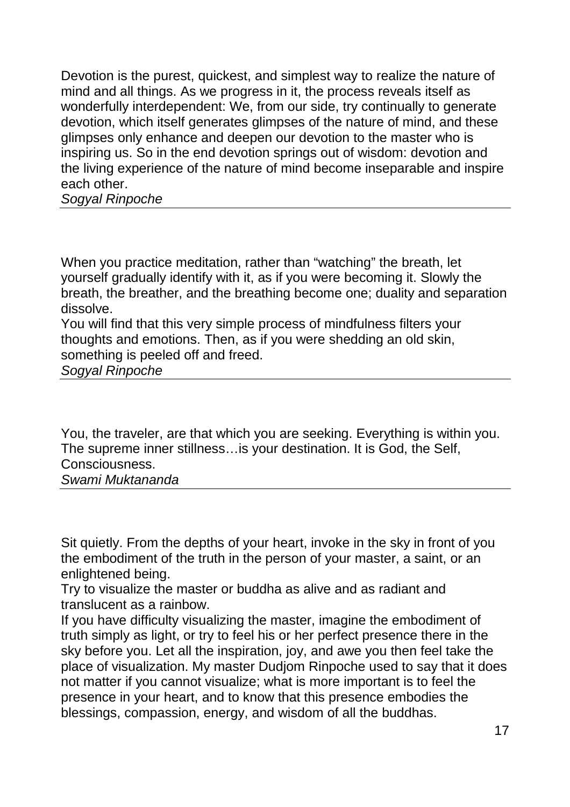Devotion is the purest, quickest, and simplest way to realize the nature of mind and all things. As we progress in it, the process reveals itself as wonderfully interdependent: We, from our side, try continually to generate devotion, which itself generates glimpses of the nature of mind, and these glimpses only enhance and deepen our devotion to the master who is inspiring us. So in the end devotion springs out of wisdom: devotion and the living experience of the nature of mind become inseparable and inspire each other.

*Sogyal Rinpoche*

When you practice meditation, rather than "watching" the breath, let yourself gradually identify with it, as if you were becoming it. Slowly the breath, the breather, and the breathing become one; duality and separation dissolve.

You will find that this very simple process of mindfulness filters your thoughts and emotions. Then, as if you were shedding an old skin, something is peeled off and freed.

*Sogyal Rinpoche*

You, the traveler, are that which you are seeking. Everything is within you. The supreme inner stillness…is your destination. It is God, the Self, Consciousness.

*Swami Muktananda*

Sit quietly. From the depths of your heart, invoke in the sky in front of you the embodiment of the truth in the person of your master, a saint, or an enlightened being.

Try to visualize the master or buddha as alive and as radiant and translucent as a rainbow.

If you have difficulty visualizing the master, imagine the embodiment of truth simply as light, or try to feel his or her perfect presence there in the sky before you. Let all the inspiration, joy, and awe you then feel take the place of visualization. My master Dudjom Rinpoche used to say that it does not matter if you cannot visualize; what is more important is to feel the presence in your heart, and to know that this presence embodies the blessings, compassion, energy, and wisdom of all the buddhas.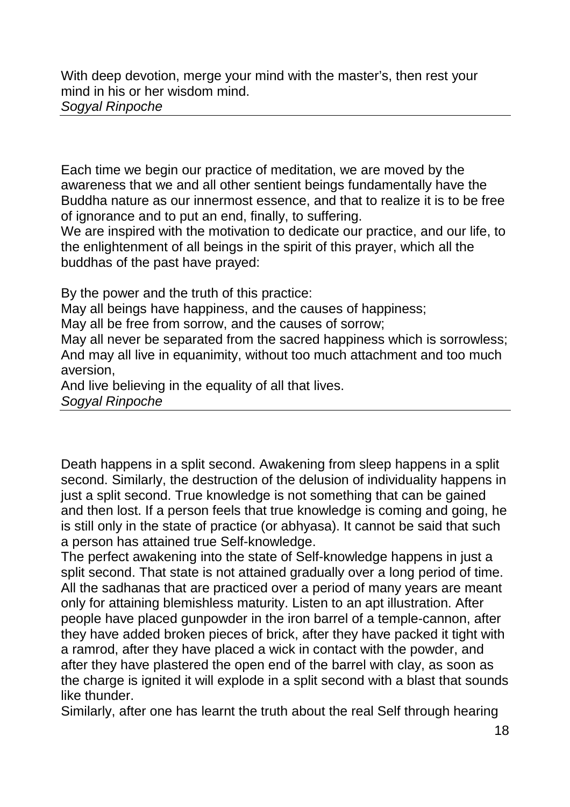With deep devotion, merge your mind with the master's, then rest your mind in his or her wisdom mind. *Sogyal Rinpoche*

Each time we begin our practice of meditation, we are moved by the awareness that we and all other sentient beings fundamentally have the Buddha nature as our innermost essence, and that to realize it is to be free of ignorance and to put an end, finally, to suffering.

We are inspired with the motivation to dedicate our practice, and our life, to the enlightenment of all beings in the spirit of this prayer, which all the buddhas of the past have prayed:

By the power and the truth of this practice:

May all beings have happiness, and the causes of happiness;

May all be free from sorrow, and the causes of sorrow;

May all never be separated from the sacred happiness which is sorrowless; And may all live in equanimity, without too much attachment and too much aversion,

And live believing in the equality of all that lives. *Sogyal Rinpoche*

Death happens in a split second. Awakening from sleep happens in a split second. Similarly, the destruction of the delusion of individuality happens in just a split second. True knowledge is not something that can be gained and then lost. If a person feels that true knowledge is coming and going, he is still only in the state of practice (or abhyasa). It cannot be said that such a person has attained true Self-knowledge.

The perfect awakening into the state of Self-knowledge happens in just a split second. That state is not attained gradually over a long period of time. All the sadhanas that are practiced over a period of many years are meant only for attaining blemishless maturity. Listen to an apt illustration. After people have placed gunpowder in the iron barrel of a temple-cannon, after they have added broken pieces of brick, after they have packed it tight with a ramrod, after they have placed a wick in contact with the powder, and after they have plastered the open end of the barrel with clay, as soon as the charge is ignited it will explode in a split second with a blast that sounds like thunder.

Similarly, after one has learnt the truth about the real Self through hearing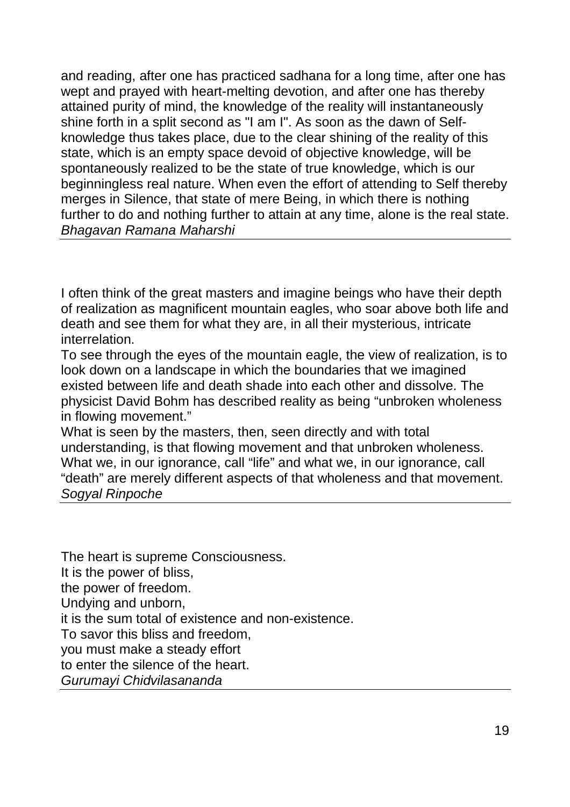and reading, after one has practiced sadhana for a long time, after one has wept and prayed with heart-melting devotion, and after one has thereby attained purity of mind, the knowledge of the reality will instantaneously shine forth in a split second as "I am I". As soon as the dawn of Selfknowledge thus takes place, due to the clear shining of the reality of this state, which is an empty space devoid of objective knowledge, will be spontaneously realized to be the state of true knowledge, which is our beginningless real nature. When even the effort of attending to Self thereby merges in Silence, that state of mere Being, in which there is nothing further to do and nothing further to attain at any time, alone is the real state. *Bhagavan Ramana Maharshi*

I often think of the great masters and imagine beings who have their depth of realization as magnificent mountain eagles, who soar above both life and death and see them for what they are, in all their mysterious, intricate interrelation.

To see through the eyes of the mountain eagle, the view of realization, is to look down on a landscape in which the boundaries that we imagined existed between life and death shade into each other and dissolve. The physicist David Bohm has described reality as being "unbroken wholeness in flowing movement."

What is seen by the masters, then, seen directly and with total understanding, is that flowing movement and that unbroken wholeness. What we, in our ignorance, call "life" and what we, in our ignorance, call "death" are merely different aspects of that wholeness and that movement. *Sogyal Rinpoche*

The heart is supreme Consciousness. It is the power of bliss, the power of freedom. Undying and unborn, it is the sum total of existence and non-existence. To savor this bliss and freedom, you must make a steady effort to enter the silence of the heart. *Gurumayi Chidvilasananda*